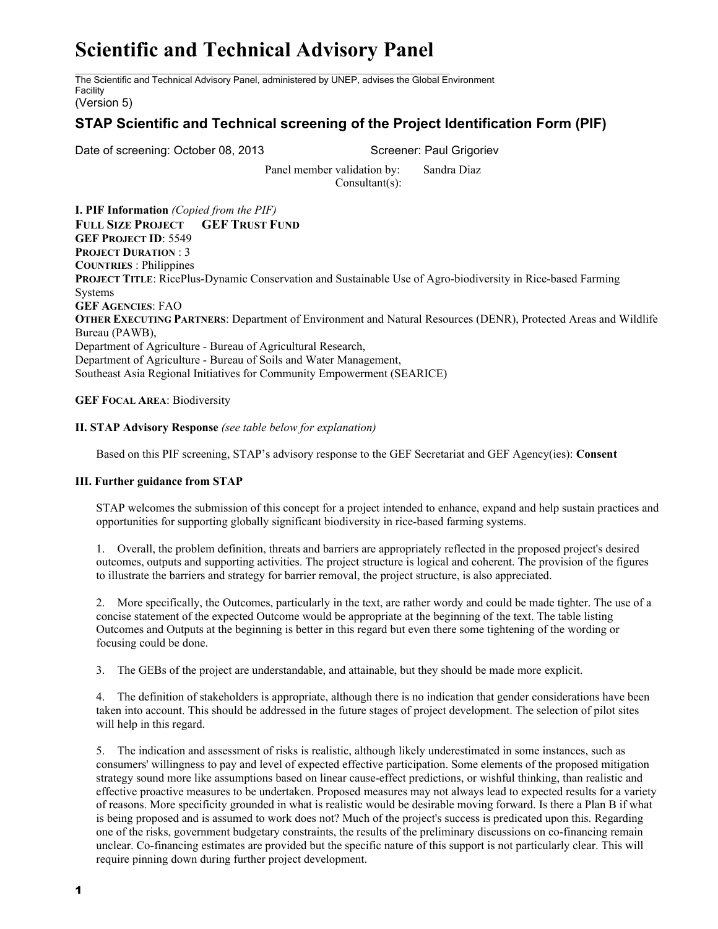## **Scientific and Technical Advisory Panel**

The Scientific and Technical Advisory Panel, administered by UNEP, advises the Global Environment Facility

(Version 5)

## **STAP Scientific and Technical screening of the Project Identification Form (PIF)**

Date of screening: October 08, 2013 Screener: Paul Grigoriev

Panel member validation by: Sandra Diaz Consultant(s):

**I. PIF Information** *(Copied from the PIF)* **FULL SIZE PROJECT GEF TRUST FUND GEF PROJECT ID**: 5549 **PROJECT DURATION** : 3 **COUNTRIES** : Philippines **PROJECT TITLE**: RicePlus-Dynamic Conservation and Sustainable Use of Agro-biodiversity in Rice-based Farming **Systems GEF AGENCIES**: FAO **OTHER EXECUTING PARTNERS**: Department of Environment and Natural Resources (DENR), Protected Areas and Wildlife Bureau (PAWB), Department of Agriculture - Bureau of Agricultural Research, Department of Agriculture - Bureau of Soils and Water Management, Southeast Asia Regional Initiatives for Community Empowerment (SEARICE)

**GEF FOCAL AREA**: Biodiversity

## **II. STAP Advisory Response** *(see table below for explanation)*

Based on this PIF screening, STAP's advisory response to the GEF Secretariat and GEF Agency(ies): **Consent**

## **III. Further guidance from STAP**

STAP welcomes the submission of this concept for a project intended to enhance, expand and help sustain practices and opportunities for supporting globally significant biodiversity in rice-based farming systems.

1. Overall, the problem definition, threats and barriers are appropriately reflected in the proposed project's desired outcomes, outputs and supporting activities. The project structure is logical and coherent. The provision of the figures to illustrate the barriers and strategy for barrier removal, the project structure, is also appreciated.

2. More specifically, the Outcomes, particularly in the text, are rather wordy and could be made tighter. The use of a concise statement of the expected Outcome would be appropriate at the beginning of the text. The table listing Outcomes and Outputs at the beginning is better in this regard but even there some tightening of the wording or focusing could be done.

3. The GEBs of the project are understandable, and attainable, but they should be made more explicit.

4. The definition of stakeholders is appropriate, although there is no indication that gender considerations have been taken into account. This should be addressed in the future stages of project development. The selection of pilot sites will help in this regard.

5. The indication and assessment of risks is realistic, although likely underestimated in some instances, such as consumers' willingness to pay and level of expected effective participation. Some elements of the proposed mitigation strategy sound more like assumptions based on linear cause-effect predictions, or wishful thinking, than realistic and effective proactive measures to be undertaken. Proposed measures may not always lead to expected results for a variety of reasons. More specificity grounded in what is realistic would be desirable moving forward. Is there a Plan B if what is being proposed and is assumed to work does not? Much of the project's success is predicated upon this. Regarding one of the risks, government budgetary constraints, the results of the preliminary discussions on co-financing remain unclear. Co-financing estimates are provided but the specific nature of this support is not particularly clear. This will require pinning down during further project development.